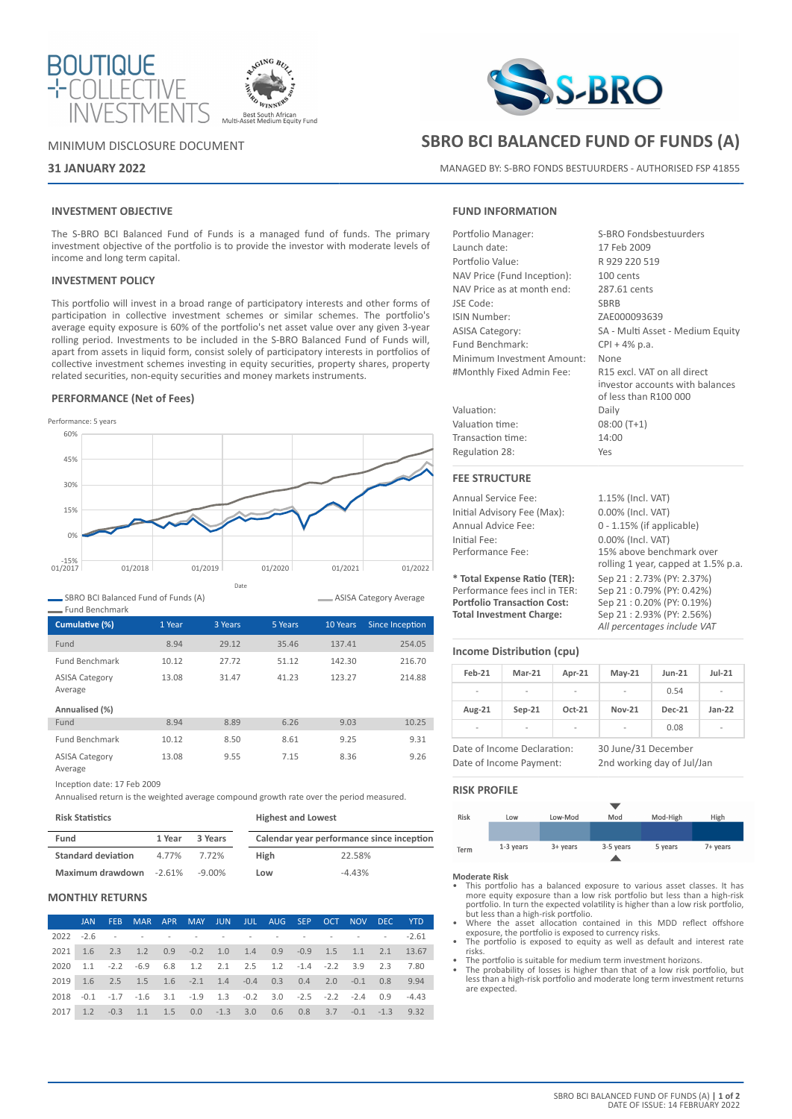



## MINIMUM DISCLOSURE DOCUMENT

# **31 JANUARY 2022**

## **INVESTMENT OBJECTIVE**

The S-BRO BCI Balanced Fund of Funds is a managed fund of funds. The primary investment objective of the portfolio is to provide the investor with moderate levels of income and long term capital.

### **INVESTMENT POLICY**

This portfolio will invest in a broad range of participatory interests and other forms of participation in collective investment schemes or similar schemes. The portfolio's average equity exposure is 60% of the portfolio's net asset value over any given 3-year rolling period. Investments to be included in the S-BRO Balanced Fund of Funds will, apart from assets in liquid form, consist solely of participatory interests in portfolios of collective investment schemes investing in equity securities, property shares, property related securities, non-equity securities and money markets instruments.

## **PERFORMANCE (Net of Fees)**



SBRO BCI Balanced Fund of Funds (A)

| <b>Fund Benchmark</b>            |        |         |         |          |                 |
|----------------------------------|--------|---------|---------|----------|-----------------|
| Cumulative (%)                   | 1 Year | 3 Years | 5 Years | 10 Years | Since Inception |
| Fund                             | 8.94   | 29.12   | 35.46   | 137.41   | 254.05          |
| <b>Fund Benchmark</b>            | 10.12  | 27.72   | 51.12   | 142.30   | 216.70          |
| <b>ASISA Category</b><br>Average | 13.08  | 31.47   | 41.23   | 123.27   | 214.88          |
| Annualised (%)                   |        |         |         |          |                 |
| Fund                             | 8.94   | 8.89    | 6.26    | 9.03     | 10.25           |
| <b>Fund Benchmark</b>            | 10.12  | 8.50    | 8.61    | 9.25     | 9.31            |
| <b>ASISA Category</b><br>Average | 13.08  | 9.55    | 7.15    | 8.36     | 9.26            |

Inception date: 17 Feb 2009

Annualised return is the weighted average compound growth rate over the period measured.

#### **Risk Statistics**

| <b>Highest and Lowest</b> |  |  |
|---------------------------|--|--|
|---------------------------|--|--|

ASISA Category Average

| Fund                      | 1 Year | 3 Years |      | Calendar year performance since inception |
|---------------------------|--------|---------|------|-------------------------------------------|
| <b>Standard deviation</b> | 4.77%  | 7.72%   | High | 22.58%                                    |
| Maximum drawdown -2.61%   |        | -9.00%  | Low  | $-4.43%$                                  |

# **MONTHLY RETURNS**

|      | JAN. | FEB        |                                                                                 |  |  |  |  | MAR APR MAY JUN JUL AUG SEP OCT NOV DEC YTD |
|------|------|------------|---------------------------------------------------------------------------------|--|--|--|--|---------------------------------------------|
|      |      |            |                                                                                 |  |  |  |  |                                             |
| 2021 |      |            | 1.6 2.3 1.2 0.9 -0.2 1.0 1.4 0.9 -0.9 1.5 1.1 2.1 13.67                         |  |  |  |  |                                             |
| 2020 |      |            | 1.1 -2.2 -6.9 6.8 1.2 2.1 2.5 1.2 -1.4 -2.2 3.9 2.3 7.80                        |  |  |  |  |                                             |
|      |      |            | 2019 1.6 2.5 1.5 1.6 -2.1 1.4 -0.4 0.3 0.4 2.0 -0.1 0.8 9.94                    |  |  |  |  |                                             |
| 2018 |      |            | $-0.1$ $-1.7$ $-1.6$ $3.1$ $-1.9$ $1.3$ $-0.2$ $3.0$ $-2.5$ $-2.2$ $-2.4$ $0.9$ |  |  |  |  | $-4.43$                                     |
| 2017 |      | $1.2 -0.3$ | 1.1 1.5 0.0 -1.3 3.0 0.6 0.8 3.7 -0.1 -1.3 9.32                                 |  |  |  |  |                                             |



# **SBRO BCI BALANCED FUND OF FUNDS (A)**

MANAGED BY: S-BRO FONDS BESTUURDERS - AUTHORISED FSP 41855

## **FUND INFORMATION**

| Portfolio Manager:          | S-BRO Fondsbestuurders                                                                  |
|-----------------------------|-----------------------------------------------------------------------------------------|
| Launch date:                | 17 Feb 2009                                                                             |
| Portfolio Value:            | R 929 220 519                                                                           |
| NAV Price (Fund Inception): | 100 cents                                                                               |
| NAV Price as at month end:  | 287.61 cents                                                                            |
| JSE Code:                   | <b>SBRB</b>                                                                             |
| <b>ISIN Number:</b>         | ZAE000093639                                                                            |
| <b>ASISA Category:</b>      | SA - Multi Asset - Medium Equity                                                        |
| Fund Benchmark:             | $CPI + 4\%$ p.a.                                                                        |
| Minimum Investment Amount:  | None                                                                                    |
| #Monthly Fixed Admin Fee:   | R15 excl. VAT on all direct<br>investor accounts with balances<br>of less than R100 000 |
| Valuation:                  | Daily                                                                                   |
| Valuation time:             | $08:00(T+1)$                                                                            |
| Transaction time:           | 14:00                                                                                   |
| Regulation 28:              | Yes                                                                                     |
| <b>FEE STRUCTURE</b>        |                                                                                         |

Annual Service Fee: 1.15% (Incl. VAT) Initial Advisory Fee (Max): 0.00% (Incl. VAT) Annual Advice Fee: 0 - 1.15% (if applicable) Initial Fee: 0.00% (Incl. VAT)<br>
Performance Fee: 15% above bench 15% above benchmark over rolling 1 year, capped at 1.5% p.a.

**\* Total Expense Ratio (TER):** Sep 21 : 2.73% (PY: 2.37%) Performance fees incl in TER:<br>**Portfolio Transaction Cost: Total Investment Charge:** Sep 21 : 2.93% (PY: 2.56%)

## **Income Distribution (cpu)**

| Feb-21                   | $Mar-21$                                               | Apr-21   | $May-21$                                          | $Jun-21$      | $Jul-21$                 |
|--------------------------|--------------------------------------------------------|----------|---------------------------------------------------|---------------|--------------------------|
| $\overline{a}$           | $\overline{\phantom{0}}$                               |          |                                                   | 0.54          | $\overline{a}$           |
| Aug-21                   | $Sep-21$                                               | $Oct-21$ | <b>Nov-21</b>                                     | <b>Dec-21</b> | $Jan-22$                 |
| $\overline{\phantom{a}}$ | -                                                      |          |                                                   | 0.08          | $\overline{\phantom{a}}$ |
|                          | Date of Income Declaration:<br>Date of Income Payment: |          | 30 June/31 December<br>2nd working day of Jul/Jan |               |                          |

**Portfolio Transaction Cost:** Sep 21 : 0.20% (PY: 0.19%)

*All percentages include VAT*

**RISK PROFILE**



#### **Moderate Risk**

- This portfolio has a balanced exposure to various asset classes. It has more equity exposure than a low risk portfolio but less than a high-risk portfolio. In turn the expected volatility is higher than a low risk portfolio, but less than a high-risk portfolio.
- Where the asset allocation contained in this MDD reflect offshore exposure, the portfolio is exposed to currency risks.
- The portfolio is exposed to equity as well as default and interest rate risks.
- 
- The portfolio is suitable for medium term investment horizons. The probability of losses is higher than that of a low risk portfolio, but less than a high-risk portfolio and moderate long term investment returns are expected.